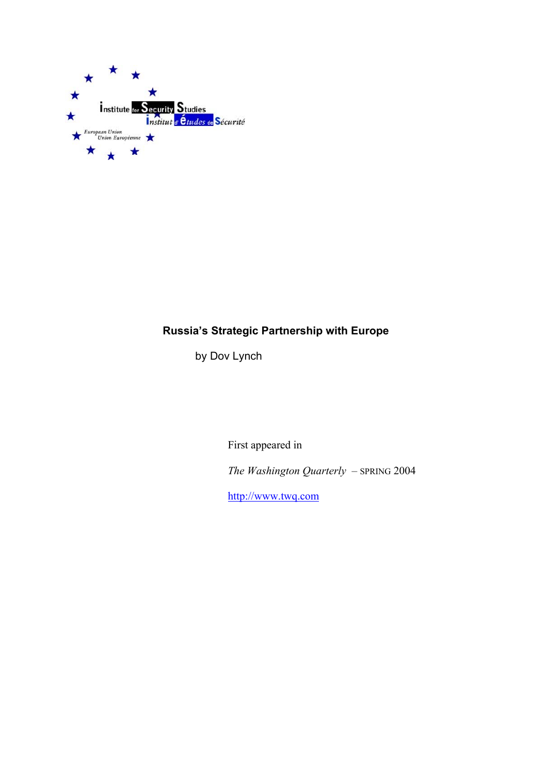

## **Russia's Strategic Partnership with Europe**

by Dov Lynch

First appeared in

*The Washington Quarterly* – SPRING 2004

<http://www.twq.com>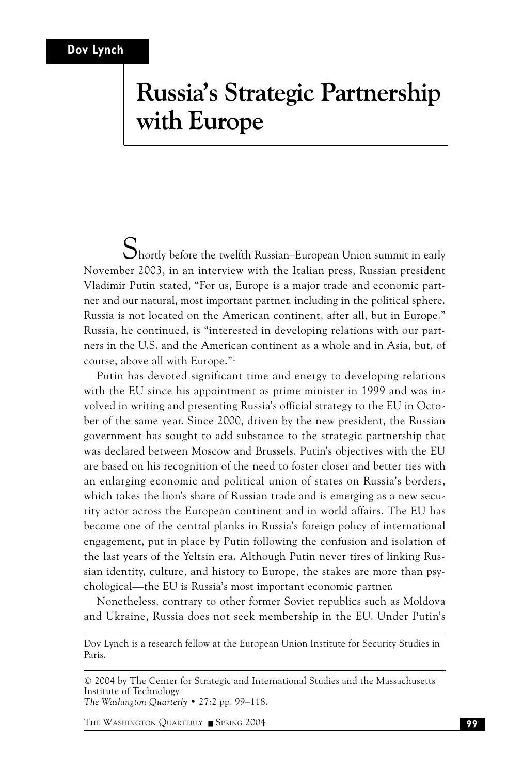# **Russia's Strategic Partnership with Europe**

Shortly before the twelfth Russian–European Union summit in early November 2003, in an interview with the Italian press, Russian president Vladimir Putin stated, "For us, Europe is a major trade and economic partner and our natural, most important partner, including in the political sphere. Russia is not located on the American continent, after all, but in Europe." Russia, he continued, is "interested in developing relations with our partners in the U.S. and the American continent as a whole and in Asia, but, of course, above all with Europe."1

Putin has devoted significant time and energy to developing relations with the EU since his appointment as prime minister in 1999 and was involved in writing and presenting Russia's official strategy to the EU in October of the same year. Since 2000, driven by the new president, the Russian government has sought to add substance to the strategic partnership that was declared between Moscow and Brussels. Putin's objectives with the EU are based on his recognition of the need to foster closer and better ties with an enlarging economic and political union of states on Russia's borders, which takes the lion's share of Russian trade and is emerging as a new security actor across the European continent and in world affairs. The EU has become one of the central planks in Russia's foreign policy of international engagement, put in place by Putin following the confusion and isolation of the last years of the Yeltsin era. Although Putin never tires of linking Russian identity, culture, and history to Europe, the stakes are more than psychological—the EU is Russia's most important economic partner.

Nonetheless, contrary to other former Soviet republics such as Moldova and Ukraine, Russia does not seek membership in the EU. Under Putin's

THE WASHINGTON QUARTERLY ■ SPRING 2004 **99**

Dov Lynch is a research fellow at the European Union Institute for Security Studies in Paris.

<sup>© 2004</sup> by The Center for Strategic and International Studies and the Massachusetts Institute of Technology *The Washington Quarterly* • 27:2 pp. 99–118.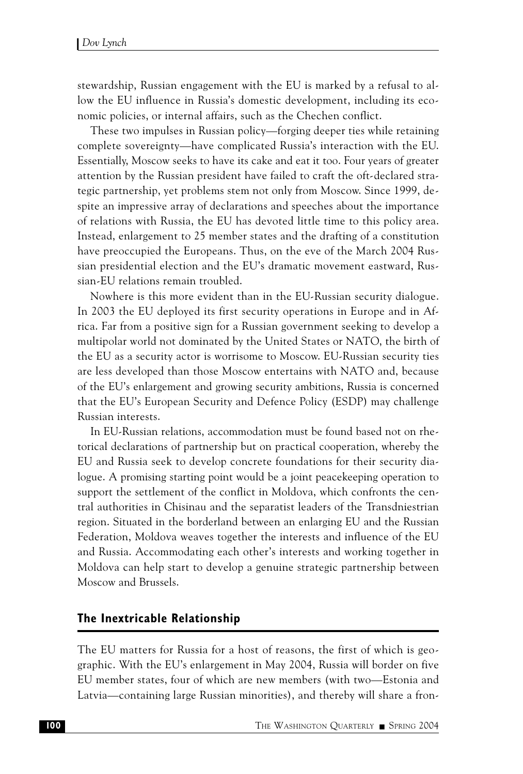stewardship, Russian engagement with the EU is marked by a refusal to allow the EU influence in Russia's domestic development, including its economic policies, or internal affairs, such as the Chechen conflict.

These two impulses in Russian policy—forging deeper ties while retaining complete sovereignty—have complicated Russia's interaction with the EU. Essentially, Moscow seeks to have its cake and eat it too. Four years of greater attention by the Russian president have failed to craft the oft-declared strategic partnership, yet problems stem not only from Moscow. Since 1999, despite an impressive array of declarations and speeches about the importance of relations with Russia, the EU has devoted little time to this policy area. Instead, enlargement to 25 member states and the drafting of a constitution have preoccupied the Europeans. Thus, on the eve of the March 2004 Russian presidential election and the EU's dramatic movement eastward, Russian-EU relations remain troubled.

Nowhere is this more evident than in the EU-Russian security dialogue. In 2003 the EU deployed its first security operations in Europe and in Africa. Far from a positive sign for a Russian government seeking to develop a multipolar world not dominated by the United States or NATO, the birth of the EU as a security actor is worrisome to Moscow. EU-Russian security ties are less developed than those Moscow entertains with NATO and, because of the EU's enlargement and growing security ambitions, Russia is concerned that the EU's European Security and Defence Policy (ESDP) may challenge Russian interests.

In EU-Russian relations, accommodation must be found based not on rhetorical declarations of partnership but on practical cooperation, whereby the EU and Russia seek to develop concrete foundations for their security dialogue. A promising starting point would be a joint peacekeeping operation to support the settlement of the conflict in Moldova, which confronts the central authorities in Chisinau and the separatist leaders of the Transdniestrian region. Situated in the borderland between an enlarging EU and the Russian Federation, Moldova weaves together the interests and influence of the EU and Russia. Accommodating each other's interests and working together in Moldova can help start to develop a genuine strategic partnership between Moscow and Brussels.

#### **The Inextricable Relationship**

The EU matters for Russia for a host of reasons, the first of which is geographic. With the EU's enlargement in May 2004, Russia will border on five EU member states, four of which are new members (with two—Estonia and Latvia—containing large Russian minorities), and thereby will share a fron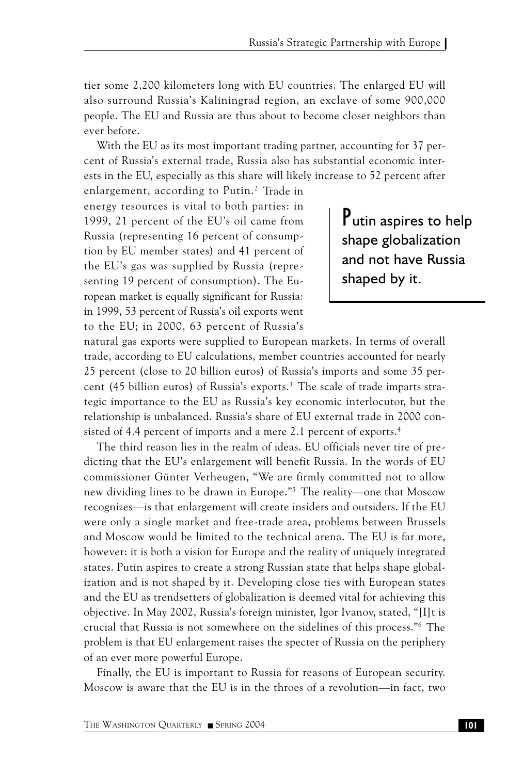tier some 2,200 kilometers long with EU countries. The enlarged EU will also surround Russia's Kaliningrad region, an exclave of some 900,000 people. The EU and Russia are thus about to become closer neighbors than ever before.

With the EU as its most important trading partner, accounting for 37 percent of Russia's external trade, Russia also has substantial economic interests in the EU, especially as this share will likely increase to 52 percent after

enlargement, according to Putin.<sup>2</sup> Trade in energy resources is vital to both parties: in 1999, 21 percent of the EU's oil came from Russia (representing 16 percent of consumption by EU member states) and 41 percent of the EU's gas was supplied by Russia (representing 19 percent of consumption). The European market is equally significant for Russia: in 1999, 53 percent of Russia's oil exports went to the EU; in 2000, 63 percent of Russia's

Putin aspires to help shape globalization and not have Russia shaped by it.

natural gas exports were supplied to European markets. In terms of overall trade, according to EU calculations, member countries accounted for nearly 25 percent (close to 20 billion euros) of Russia's imports and some 35 percent (45 billion euros) of Russia's exports.3 The scale of trade imparts strategic importance to the EU as Russia's key economic interlocutor, but the relationship is unbalanced. Russia's share of EU external trade in 2000 consisted of 4.4 percent of imports and a mere 2.1 percent of exports.<sup>4</sup>

The third reason lies in the realm of ideas. EU officials never tire of predicting that the EU's enlargement will benefit Russia. In the words of EU commissioner Günter Verheugen, "We are firmly committed not to allow new dividing lines to be drawn in Europe."5 The reality—one that Moscow recognizes—is that enlargement will create insiders and outsiders. If the EU were only a single market and free-trade area, problems between Brussels and Moscow would be limited to the technical arena. The EU is far more, however: it is both a vision for Europe and the reality of uniquely integrated states. Putin aspires to create a strong Russian state that helps shape globalization and is not shaped by it. Developing close ties with European states and the EU as trendsetters of globalization is deemed vital for achieving this objective. In May 2002, Russia's foreign minister, Igor Ivanov, stated, "[I]t is crucial that Russia is not somewhere on the sidelines of this process."6 The problem is that EU enlargement raises the specter of Russia on the periphery of an ever more powerful Europe.

Finally, the EU is important to Russia for reasons of European security. Moscow is aware that the EU is in the throes of a revolution—in fact, two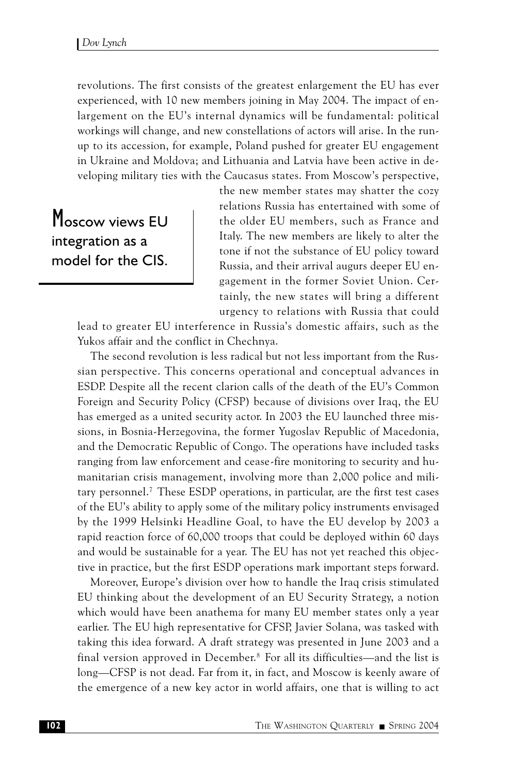revolutions. The first consists of the greatest enlargement the EU has ever experienced, with 10 new members joining in May 2004. The impact of enlargement on the EU's internal dynamics will be fundamental: political workings will change, and new constellations of actors will arise. In the runup to its accession, for example, Poland pushed for greater EU engagement in Ukraine and Moldova; and Lithuania and Latvia have been active in developing military ties with the Caucasus states. From Moscow's perspective,

Moscow views EU integration as a model for the CIS.

the new member states may shatter the cozy relations Russia has entertained with some of the older EU members, such as France and Italy. The new members are likely to alter the tone if not the substance of EU policy toward Russia, and their arrival augurs deeper EU engagement in the former Soviet Union. Certainly, the new states will bring a different urgency to relations with Russia that could

lead to greater EU interference in Russia's domestic affairs, such as the Yukos affair and the conflict in Chechnya.

The second revolution is less radical but not less important from the Russian perspective. This concerns operational and conceptual advances in ESDP. Despite all the recent clarion calls of the death of the EU's Common Foreign and Security Policy (CFSP) because of divisions over Iraq, the EU has emerged as a united security actor. In 2003 the EU launched three missions, in Bosnia-Herzegovina, the former Yugoslav Republic of Macedonia, and the Democratic Republic of Congo. The operations have included tasks ranging from law enforcement and cease-fire monitoring to security and humanitarian crisis management, involving more than 2,000 police and military personnel.<sup>7</sup> These ESDP operations, in particular, are the first test cases of the EU's ability to apply some of the military policy instruments envisaged by the 1999 Helsinki Headline Goal, to have the EU develop by 2003 a rapid reaction force of 60,000 troops that could be deployed within 60 days and would be sustainable for a year. The EU has not yet reached this objective in practice, but the first ESDP operations mark important steps forward.

Moreover, Europe's division over how to handle the Iraq crisis stimulated EU thinking about the development of an EU Security Strategy, a notion which would have been anathema for many EU member states only a year earlier. The EU high representative for CFSP, Javier Solana, was tasked with taking this idea forward. A draft strategy was presented in June 2003 and a final version approved in December.8 For all its difficulties—and the list is long—CFSP is not dead. Far from it, in fact, and Moscow is keenly aware of the emergence of a new key actor in world affairs, one that is willing to act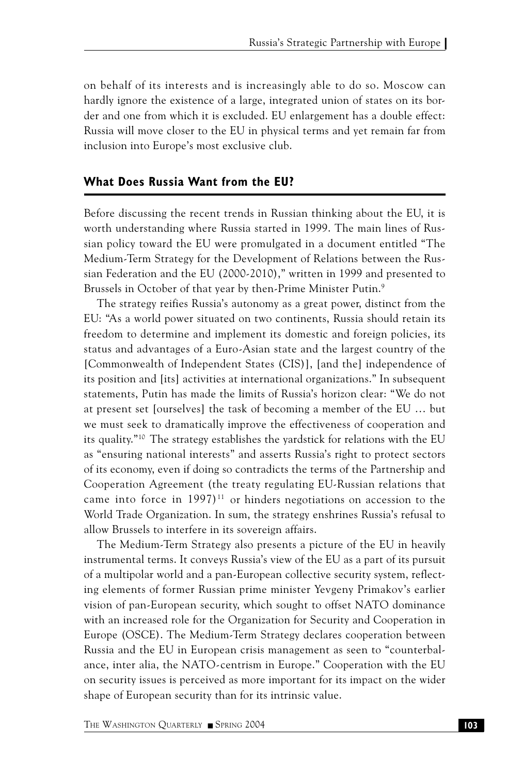on behalf of its interests and is increasingly able to do so. Moscow can hardly ignore the existence of a large, integrated union of states on its border and one from which it is excluded. EU enlargement has a double effect: Russia will move closer to the EU in physical terms and yet remain far from inclusion into Europe's most exclusive club.

### **What Does Russia Want from the EU?**

Before discussing the recent trends in Russian thinking about the EU, it is worth understanding where Russia started in 1999. The main lines of Russian policy toward the EU were promulgated in a document entitled "The Medium-Term Strategy for the Development of Relations between the Russian Federation and the EU (2000-2010)," written in 1999 and presented to Brussels in October of that year by then-Prime Minister Putin.<sup>9</sup>

The strategy reifies Russia's autonomy as a great power, distinct from the EU: "As a world power situated on two continents, Russia should retain its freedom to determine and implement its domestic and foreign policies, its status and advantages of a Euro-Asian state and the largest country of the [Commonwealth of Independent States (CIS)], [and the] independence of its position and [its] activities at international organizations." In subsequent statements, Putin has made the limits of Russia's horizon clear: "We do not at present set [ourselves] the task of becoming a member of the EU … but we must seek to dramatically improve the effectiveness of cooperation and its quality."10 The strategy establishes the yardstick for relations with the EU as "ensuring national interests" and asserts Russia's right to protect sectors of its economy, even if doing so contradicts the terms of the Partnership and Cooperation Agreement (the treaty regulating EU-Russian relations that came into force in  $1997$ <sup>11</sup> or hinders negotiations on accession to the World Trade Organization. In sum, the strategy enshrines Russia's refusal to allow Brussels to interfere in its sovereign affairs.

The Medium-Term Strategy also presents a picture of the EU in heavily instrumental terms. It conveys Russia's view of the EU as a part of its pursuit of a multipolar world and a pan-European collective security system, reflecting elements of former Russian prime minister Yevgeny Primakov's earlier vision of pan-European security, which sought to offset NATO dominance with an increased role for the Organization for Security and Cooperation in Europe (OSCE). The Medium-Term Strategy declares cooperation between Russia and the EU in European crisis management as seen to "counterbalance, inter alia, the NATO-centrism in Europe." Cooperation with the EU on security issues is perceived as more important for its impact on the wider shape of European security than for its intrinsic value.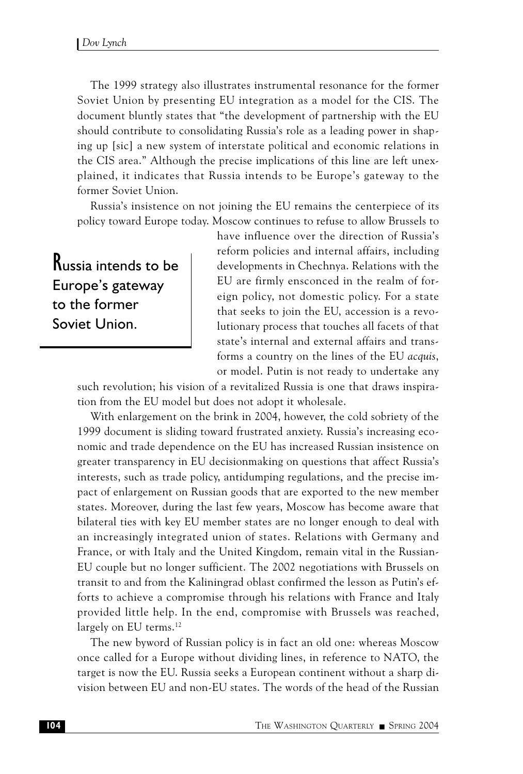The 1999 strategy also illustrates instrumental resonance for the former Soviet Union by presenting EU integration as a model for the CIS. The document bluntly states that "the development of partnership with the EU should contribute to consolidating Russia's role as a leading power in shaping up [sic] a new system of interstate political and economic relations in the CIS area." Although the precise implications of this line are left unexplained, it indicates that Russia intends to be Europe's gateway to the former Soviet Union.

Russia's insistence on not joining the EU remains the centerpiece of its policy toward Europe today. Moscow continues to refuse to allow Brussels to

Russia intends to be Europe's gateway to the former Soviet Union.

have influence over the direction of Russia's reform policies and internal affairs, including developments in Chechnya. Relations with the EU are firmly ensconced in the realm of foreign policy, not domestic policy. For a state that seeks to join the EU, accession is a revolutionary process that touches all facets of that state's internal and external affairs and transforms a country on the lines of the EU *acquis*, or model. Putin is not ready to undertake any

such revolution; his vision of a revitalized Russia is one that draws inspiration from the EU model but does not adopt it wholesale.

With enlargement on the brink in 2004, however, the cold sobriety of the 1999 document is sliding toward frustrated anxiety. Russia's increasing economic and trade dependence on the EU has increased Russian insistence on greater transparency in EU decisionmaking on questions that affect Russia's interests, such as trade policy, antidumping regulations, and the precise impact of enlargement on Russian goods that are exported to the new member states. Moreover, during the last few years, Moscow has become aware that bilateral ties with key EU member states are no longer enough to deal with an increasingly integrated union of states. Relations with Germany and France, or with Italy and the United Kingdom, remain vital in the Russian-EU couple but no longer sufficient. The 2002 negotiations with Brussels on transit to and from the Kaliningrad oblast confirmed the lesson as Putin's efforts to achieve a compromise through his relations with France and Italy provided little help. In the end, compromise with Brussels was reached, largely on EU terms.<sup>12</sup>

The new byword of Russian policy is in fact an old one: whereas Moscow once called for a Europe without dividing lines, in reference to NATO, the target is now the EU. Russia seeks a European continent without a sharp division between EU and non-EU states. The words of the head of the Russian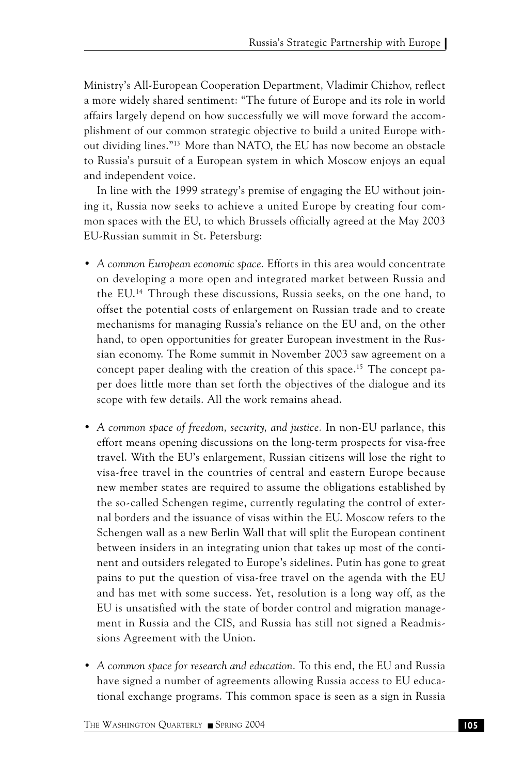Ministry's All-European Cooperation Department, Vladimir Chizhov, reflect a more widely shared sentiment: "The future of Europe and its role in world affairs largely depend on how successfully we will move forward the accomplishment of our common strategic objective to build a united Europe without dividing lines."13 More than NATO, the EU has now become an obstacle to Russia's pursuit of a European system in which Moscow enjoys an equal and independent voice.

In line with the 1999 strategy's premise of engaging the EU without joining it, Russia now seeks to achieve a united Europe by creating four common spaces with the EU, to which Brussels officially agreed at the May 2003 EU-Russian summit in St. Petersburg:

- *A common European economic space.* Efforts in this area would concentrate on developing a more open and integrated market between Russia and the EU.14 Through these discussions, Russia seeks, on the one hand, to offset the potential costs of enlargement on Russian trade and to create mechanisms for managing Russia's reliance on the EU and, on the other hand, to open opportunities for greater European investment in the Russian economy. The Rome summit in November 2003 saw agreement on a concept paper dealing with the creation of this space.15 The concept paper does little more than set forth the objectives of the dialogue and its scope with few details. All the work remains ahead.
- *A common space of freedom, security, and justice.* In non-EU parlance, this effort means opening discussions on the long-term prospects for visa-free travel. With the EU's enlargement, Russian citizens will lose the right to visa-free travel in the countries of central and eastern Europe because new member states are required to assume the obligations established by the so-called Schengen regime, currently regulating the control of external borders and the issuance of visas within the EU. Moscow refers to the Schengen wall as a new Berlin Wall that will split the European continent between insiders in an integrating union that takes up most of the continent and outsiders relegated to Europe's sidelines. Putin has gone to great pains to put the question of visa-free travel on the agenda with the EU and has met with some success. Yet, resolution is a long way off, as the EU is unsatisfied with the state of border control and migration management in Russia and the CIS, and Russia has still not signed a Readmissions Agreement with the Union.
- *A common space for research and education.* To this end, the EU and Russia have signed a number of agreements allowing Russia access to EU educational exchange programs. This common space is seen as a sign in Russia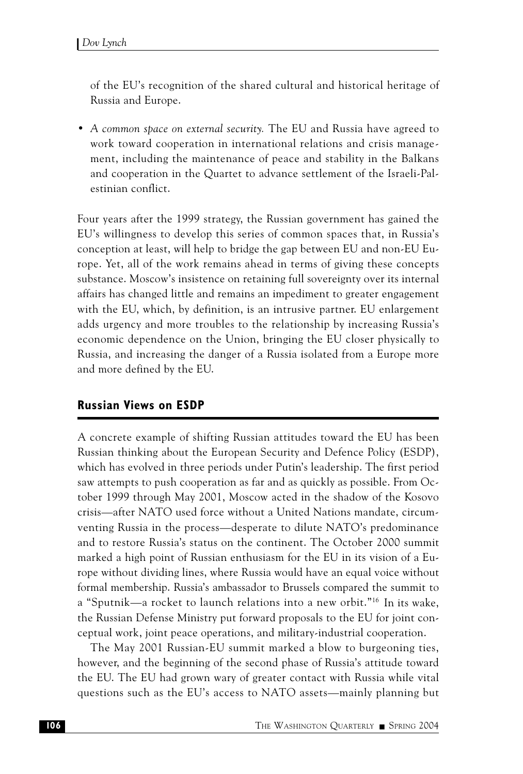of the EU's recognition of the shared cultural and historical heritage of Russia and Europe.

• *A common space on external security.* The EU and Russia have agreed to work toward cooperation in international relations and crisis management, including the maintenance of peace and stability in the Balkans and cooperation in the Quartet to advance settlement of the Israeli-Palestinian conflict.

Four years after the 1999 strategy, the Russian government has gained the EU's willingness to develop this series of common spaces that, in Russia's conception at least, will help to bridge the gap between EU and non-EU Europe. Yet, all of the work remains ahead in terms of giving these concepts substance. Moscow's insistence on retaining full sovereignty over its internal affairs has changed little and remains an impediment to greater engagement with the EU, which, by definition, is an intrusive partner. EU enlargement adds urgency and more troubles to the relationship by increasing Russia's economic dependence on the Union, bringing the EU closer physically to Russia, and increasing the danger of a Russia isolated from a Europe more and more defined by the EU.

#### **Russian Views on ESDP**

A concrete example of shifting Russian attitudes toward the EU has been Russian thinking about the European Security and Defence Policy (ESDP), which has evolved in three periods under Putin's leadership. The first period saw attempts to push cooperation as far and as quickly as possible. From October 1999 through May 2001, Moscow acted in the shadow of the Kosovo crisis—after NATO used force without a United Nations mandate, circumventing Russia in the process—desperate to dilute NATO's predominance and to restore Russia's status on the continent. The October 2000 summit marked a high point of Russian enthusiasm for the EU in its vision of a Europe without dividing lines, where Russia would have an equal voice without formal membership. Russia's ambassador to Brussels compared the summit to a "Sputnik—a rocket to launch relations into a new orbit."16 In its wake, the Russian Defense Ministry put forward proposals to the EU for joint conceptual work, joint peace operations, and military-industrial cooperation.

The May 2001 Russian-EU summit marked a blow to burgeoning ties, however, and the beginning of the second phase of Russia's attitude toward the EU. The EU had grown wary of greater contact with Russia while vital questions such as the EU's access to NATO assets—mainly planning but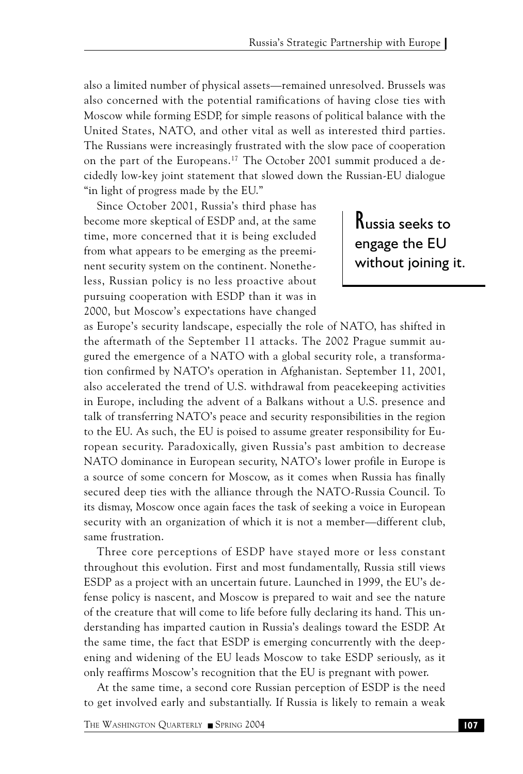also a limited number of physical assets—remained unresolved. Brussels was also concerned with the potential ramifications of having close ties with Moscow while forming ESDP, for simple reasons of political balance with the United States, NATO, and other vital as well as interested third parties. The Russians were increasingly frustrated with the slow pace of cooperation on the part of the Europeans.<sup>17</sup> The October 2001 summit produced a decidedly low-key joint statement that slowed down the Russian-EU dialogue "in light of progress made by the EU."

Since October 2001, Russia's third phase has become more skeptical of ESDP and, at the same time, more concerned that it is being excluded from what appears to be emerging as the preeminent security system on the continent. Nonetheless, Russian policy is no less proactive about pursuing cooperation with ESDP than it was in 2000, but Moscow's expectations have changed

Russia seeks to engage the EU without joining it.

as Europe's security landscape, especially the role of NATO, has shifted in the aftermath of the September 11 attacks. The 2002 Prague summit augured the emergence of a NATO with a global security role, a transformation confirmed by NATO's operation in Afghanistan. September 11, 2001, also accelerated the trend of U.S. withdrawal from peacekeeping activities in Europe, including the advent of a Balkans without a U.S. presence and talk of transferring NATO's peace and security responsibilities in the region to the EU. As such, the EU is poised to assume greater responsibility for European security. Paradoxically, given Russia's past ambition to decrease NATO dominance in European security, NATO's lower profile in Europe is a source of some concern for Moscow, as it comes when Russia has finally secured deep ties with the alliance through the NATO-Russia Council. To its dismay, Moscow once again faces the task of seeking a voice in European security with an organization of which it is not a member—different club, same frustration.

Three core perceptions of ESDP have stayed more or less constant throughout this evolution. First and most fundamentally, Russia still views ESDP as a project with an uncertain future. Launched in 1999, the EU's defense policy is nascent, and Moscow is prepared to wait and see the nature of the creature that will come to life before fully declaring its hand. This understanding has imparted caution in Russia's dealings toward the ESDP. At the same time, the fact that ESDP is emerging concurrently with the deepening and widening of the EU leads Moscow to take ESDP seriously, as it only reaffirms Moscow's recognition that the EU is pregnant with power.

At the same time, a second core Russian perception of ESDP is the need to get involved early and substantially. If Russia is likely to remain a weak

THE WASHINGTON QUARTERLY **BERING 2004**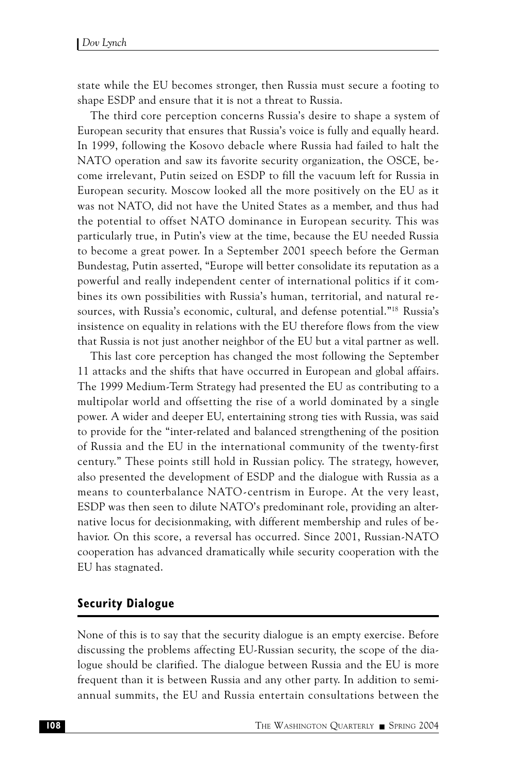state while the EU becomes stronger, then Russia must secure a footing to shape ESDP and ensure that it is not a threat to Russia.

The third core perception concerns Russia's desire to shape a system of European security that ensures that Russia's voice is fully and equally heard. In 1999, following the Kosovo debacle where Russia had failed to halt the NATO operation and saw its favorite security organization, the OSCE, become irrelevant, Putin seized on ESDP to fill the vacuum left for Russia in European security. Moscow looked all the more positively on the EU as it was not NATO, did not have the United States as a member, and thus had the potential to offset NATO dominance in European security. This was particularly true, in Putin's view at the time, because the EU needed Russia to become a great power. In a September 2001 speech before the German Bundestag, Putin asserted, "Europe will better consolidate its reputation as a powerful and really independent center of international politics if it combines its own possibilities with Russia's human, territorial, and natural resources, with Russia's economic, cultural, and defense potential."18 Russia's insistence on equality in relations with the EU therefore flows from the view that Russia is not just another neighbor of the EU but a vital partner as well.

This last core perception has changed the most following the September 11 attacks and the shifts that have occurred in European and global affairs. The 1999 Medium-Term Strategy had presented the EU as contributing to a multipolar world and offsetting the rise of a world dominated by a single power. A wider and deeper EU, entertaining strong ties with Russia, was said to provide for the "inter-related and balanced strengthening of the position of Russia and the EU in the international community of the twenty-first century." These points still hold in Russian policy. The strategy, however, also presented the development of ESDP and the dialogue with Russia as a means to counterbalance NATO-centrism in Europe. At the very least, ESDP was then seen to dilute NATO's predominant role, providing an alternative locus for decisionmaking, with different membership and rules of behavior. On this score, a reversal has occurred. Since 2001, Russian-NATO cooperation has advanced dramatically while security cooperation with the EU has stagnated.

#### **Security Dialogue**

None of this is to say that the security dialogue is an empty exercise. Before discussing the problems affecting EU-Russian security, the scope of the dialogue should be clarified. The dialogue between Russia and the EU is more frequent than it is between Russia and any other party. In addition to semiannual summits, the EU and Russia entertain consultations between the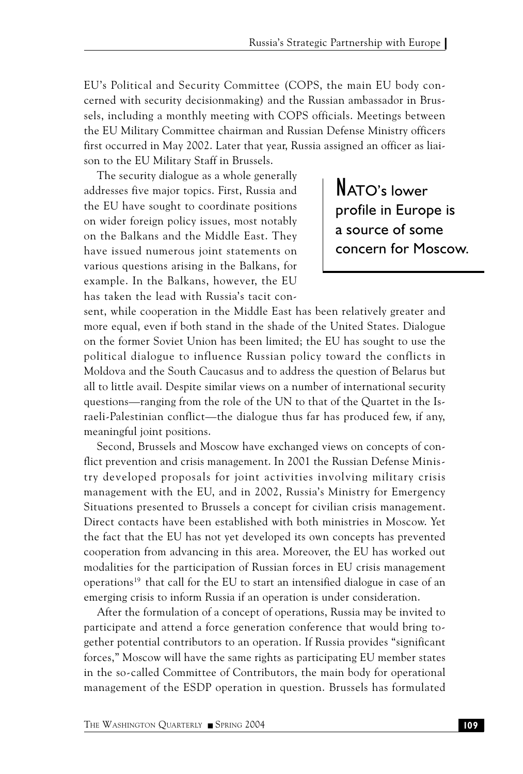EU's Political and Security Committee (COPS, the main EU body concerned with security decisionmaking) and the Russian ambassador in Brussels, including a monthly meeting with COPS officials. Meetings between the EU Military Committee chairman and Russian Defense Ministry officers first occurred in May 2002. Later that year, Russia assigned an officer as liaison to the EU Military Staff in Brussels.

The security dialogue as a whole generally addresses five major topics. First, Russia and the EU have sought to coordinate positions on wider foreign policy issues, most notably on the Balkans and the Middle East. They have issued numerous joint statements on various questions arising in the Balkans, for example. In the Balkans, however, the EU has taken the lead with Russia's tacit con-

NATO's lower profile in Europe is a source of some concern for Moscow.

sent, while cooperation in the Middle East has been relatively greater and more equal, even if both stand in the shade of the United States. Dialogue on the former Soviet Union has been limited; the EU has sought to use the political dialogue to influence Russian policy toward the conflicts in Moldova and the South Caucasus and to address the question of Belarus but all to little avail. Despite similar views on a number of international security questions—ranging from the role of the UN to that of the Quartet in the Israeli-Palestinian conflict—the dialogue thus far has produced few, if any, meaningful joint positions.

Second, Brussels and Moscow have exchanged views on concepts of conflict prevention and crisis management. In 2001 the Russian Defense Ministry developed proposals for joint activities involving military crisis management with the EU, and in 2002, Russia's Ministry for Emergency Situations presented to Brussels a concept for civilian crisis management. Direct contacts have been established with both ministries in Moscow. Yet the fact that the EU has not yet developed its own concepts has prevented cooperation from advancing in this area. Moreover, the EU has worked out modalities for the participation of Russian forces in EU crisis management operations<sup>19</sup> that call for the EU to start an intensified dialogue in case of an emerging crisis to inform Russia if an operation is under consideration.

After the formulation of a concept of operations, Russia may be invited to participate and attend a force generation conference that would bring together potential contributors to an operation. If Russia provides "significant forces," Moscow will have the same rights as participating EU member states in the so-called Committee of Contributors, the main body for operational management of the ESDP operation in question. Brussels has formulated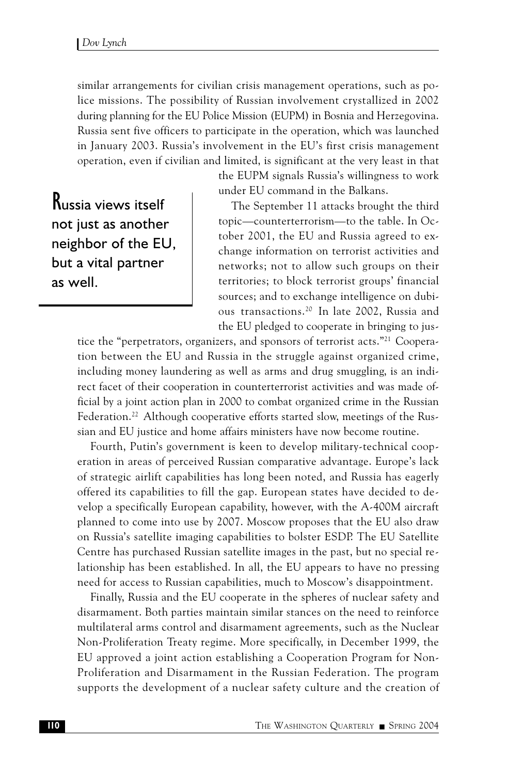similar arrangements for civilian crisis management operations, such as police missions. The possibility of Russian involvement crystallized in 2002 during planning for the EU Police Mission (EUPM) in Bosnia and Herzegovina. Russia sent five officers to participate in the operation, which was launched in January 2003. Russia's involvement in the EU's first crisis management operation, even if civilian and limited, is significant at the very least in that

Russia views itself not just as another neighbor of the EU, but a vital partner as well.

the EUPM signals Russia's willingness to work under EU command in the Balkans.

The September 11 attacks brought the third topic—counterterrorism—to the table. In October 2001, the EU and Russia agreed to exchange information on terrorist activities and networks; not to allow such groups on their territories; to block terrorist groups' financial sources; and to exchange intelligence on dubious transactions.20 In late 2002, Russia and the EU pledged to cooperate in bringing to jus-

tice the "perpetrators, organizers, and sponsors of terrorist acts."<sup>21</sup> Cooperation between the EU and Russia in the struggle against organized crime, including money laundering as well as arms and drug smuggling, is an indirect facet of their cooperation in counterterrorist activities and was made official by a joint action plan in 2000 to combat organized crime in the Russian Federation.<sup>22</sup> Although cooperative efforts started slow, meetings of the Russian and EU justice and home affairs ministers have now become routine.

Fourth, Putin's government is keen to develop military-technical cooperation in areas of perceived Russian comparative advantage. Europe's lack of strategic airlift capabilities has long been noted, and Russia has eagerly offered its capabilities to fill the gap. European states have decided to develop a specifically European capability, however, with the A-400M aircraft planned to come into use by 2007. Moscow proposes that the EU also draw on Russia's satellite imaging capabilities to bolster ESDP. The EU Satellite Centre has purchased Russian satellite images in the past, but no special relationship has been established. In all, the EU appears to have no pressing need for access to Russian capabilities, much to Moscow's disappointment.

Finally, Russia and the EU cooperate in the spheres of nuclear safety and disarmament. Both parties maintain similar stances on the need to reinforce multilateral arms control and disarmament agreements, such as the Nuclear Non-Proliferation Treaty regime. More specifically, in December 1999, the EU approved a joint action establishing a Cooperation Program for Non-Proliferation and Disarmament in the Russian Federation. The program supports the development of a nuclear safety culture and the creation of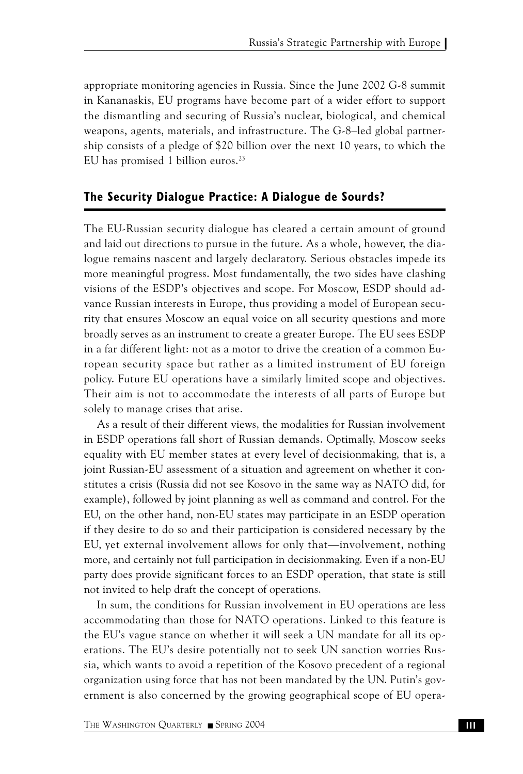appropriate monitoring agencies in Russia. Since the June 2002 G-8 summit in Kananaskis, EU programs have become part of a wider effort to support the dismantling and securing of Russia's nuclear, biological, and chemical weapons, agents, materials, and infrastructure. The G-8–led global partnership consists of a pledge of \$20 billion over the next 10 years, to which the EU has promised 1 billion euros.<sup>23</sup>

#### **The Security Dialogue Practice: A Dialogue de Sourds?**

The EU-Russian security dialogue has cleared a certain amount of ground and laid out directions to pursue in the future. As a whole, however, the dialogue remains nascent and largely declaratory. Serious obstacles impede its more meaningful progress. Most fundamentally, the two sides have clashing visions of the ESDP's objectives and scope. For Moscow, ESDP should advance Russian interests in Europe, thus providing a model of European security that ensures Moscow an equal voice on all security questions and more broadly serves as an instrument to create a greater Europe. The EU sees ESDP in a far different light: not as a motor to drive the creation of a common European security space but rather as a limited instrument of EU foreign policy. Future EU operations have a similarly limited scope and objectives. Their aim is not to accommodate the interests of all parts of Europe but solely to manage crises that arise.

As a result of their different views, the modalities for Russian involvement in ESDP operations fall short of Russian demands. Optimally, Moscow seeks equality with EU member states at every level of decisionmaking, that is, a joint Russian-EU assessment of a situation and agreement on whether it constitutes a crisis (Russia did not see Kosovo in the same way as NATO did, for example), followed by joint planning as well as command and control. For the EU, on the other hand, non-EU states may participate in an ESDP operation if they desire to do so and their participation is considered necessary by the EU, yet external involvement allows for only that—involvement, nothing more, and certainly not full participation in decisionmaking. Even if a non-EU party does provide significant forces to an ESDP operation, that state is still not invited to help draft the concept of operations.

In sum, the conditions for Russian involvement in EU operations are less accommodating than those for NATO operations. Linked to this feature is the EU's vague stance on whether it will seek a UN mandate for all its operations. The EU's desire potentially not to seek UN sanction worries Russia, which wants to avoid a repetition of the Kosovo precedent of a regional organization using force that has not been mandated by the UN. Putin's government is also concerned by the growing geographical scope of EU opera-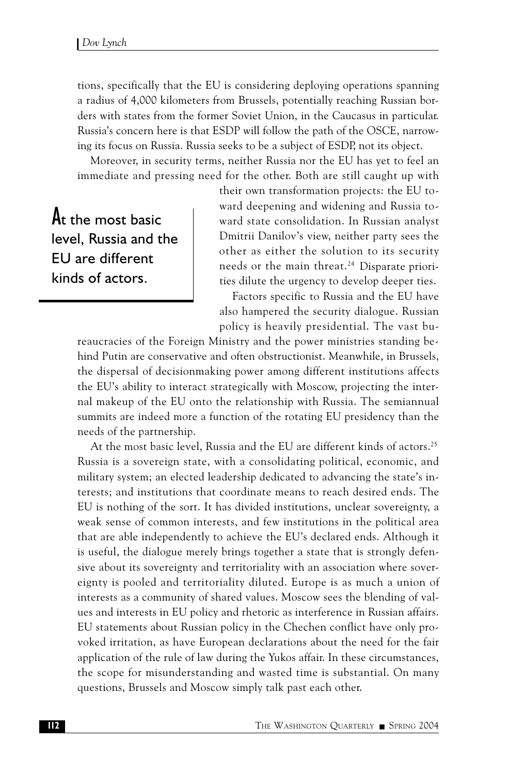tions, specifically that the EU is considering deploying operations spanning a radius of 4,000 kilometers from Brussels, potentially reaching Russian borders with states from the former Soviet Union, in the Caucasus in particular. Russia's concern here is that ESDP will follow the path of the OSCE, narrowing its focus on Russia. Russia seeks to be a subject of ESDP, not its object.

Moreover, in security terms, neither Russia nor the EU has yet to feel an immediate and pressing need for the other. Both are still caught up with

At the most basic level, Russia and the EU are different kinds of actors.

their own transformation projects: the EU toward deepening and widening and Russia toward state consolidation. In Russian analyst Dmitrii Danilov's view, neither party sees the other as either the solution to its security needs or the main threat.<sup>24</sup> Disparate priorities dilute the urgency to develop deeper ties.

Factors specific to Russia and the EU have also hampered the security dialogue. Russian policy is heavily presidential. The vast bu-

reaucracies of the Foreign Ministry and the power ministries standing behind Putin are conservative and often obstructionist. Meanwhile, in Brussels, the dispersal of decisionmaking power among different institutions affects the EU's ability to interact strategically with Moscow, projecting the internal makeup of the EU onto the relationship with Russia. The semiannual summits are indeed more a function of the rotating EU presidency than the needs of the partnership.

At the most basic level, Russia and the EU are different kinds of actors.<sup>25</sup> Russia is a sovereign state, with a consolidating political, economic, and military system; an elected leadership dedicated to advancing the state's interests; and institutions that coordinate means to reach desired ends. The EU is nothing of the sort. It has divided institutions, unclear sovereignty, a weak sense of common interests, and few institutions in the political area that are able independently to achieve the EU's declared ends. Although it is useful, the dialogue merely brings together a state that is strongly defensive about its sovereignty and territoriality with an association where sovereignty is pooled and territoriality diluted. Europe is as much a union of interests as a community of shared values. Moscow sees the blending of values and interests in EU policy and rhetoric as interference in Russian affairs. EU statements about Russian policy in the Chechen conflict have only provoked irritation, as have European declarations about the need for the fair application of the rule of law during the Yukos affair. In these circumstances, the scope for misunderstanding and wasted time is substantial. On many questions, Brussels and Moscow simply talk past each other.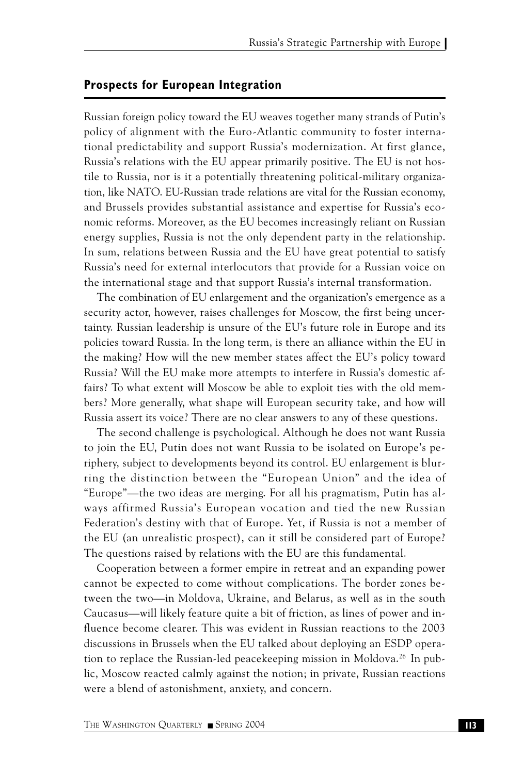#### **Prospects for European Integration**

Russian foreign policy toward the EU weaves together many strands of Putin's policy of alignment with the Euro-Atlantic community to foster international predictability and support Russia's modernization. At first glance, Russia's relations with the EU appear primarily positive. The EU is not hostile to Russia, nor is it a potentially threatening political-military organization, like NATO. EU-Russian trade relations are vital for the Russian economy, and Brussels provides substantial assistance and expertise for Russia's economic reforms. Moreover, as the EU becomes increasingly reliant on Russian energy supplies, Russia is not the only dependent party in the relationship. In sum, relations between Russia and the EU have great potential to satisfy Russia's need for external interlocutors that provide for a Russian voice on the international stage and that support Russia's internal transformation.

The combination of EU enlargement and the organization's emergence as a security actor, however, raises challenges for Moscow, the first being uncertainty. Russian leadership is unsure of the EU's future role in Europe and its policies toward Russia. In the long term, is there an alliance within the EU in the making? How will the new member states affect the EU's policy toward Russia? Will the EU make more attempts to interfere in Russia's domestic affairs? To what extent will Moscow be able to exploit ties with the old members? More generally, what shape will European security take, and how will Russia assert its voice? There are no clear answers to any of these questions.

The second challenge is psychological. Although he does not want Russia to join the EU, Putin does not want Russia to be isolated on Europe's periphery, subject to developments beyond its control. EU enlargement is blurring the distinction between the "European Union" and the idea of "Europe"—the two ideas are merging. For all his pragmatism, Putin has always affirmed Russia's European vocation and tied the new Russian Federation's destiny with that of Europe. Yet, if Russia is not a member of the EU (an unrealistic prospect), can it still be considered part of Europe? The questions raised by relations with the EU are this fundamental.

Cooperation between a former empire in retreat and an expanding power cannot be expected to come without complications. The border zones between the two—in Moldova, Ukraine, and Belarus, as well as in the south Caucasus—will likely feature quite a bit of friction, as lines of power and influence become clearer. This was evident in Russian reactions to the 2003 discussions in Brussels when the EU talked about deploying an ESDP operation to replace the Russian-led peacekeeping mission in Moldova.<sup>26</sup> In public, Moscow reacted calmly against the notion; in private, Russian reactions were a blend of astonishment, anxiety, and concern.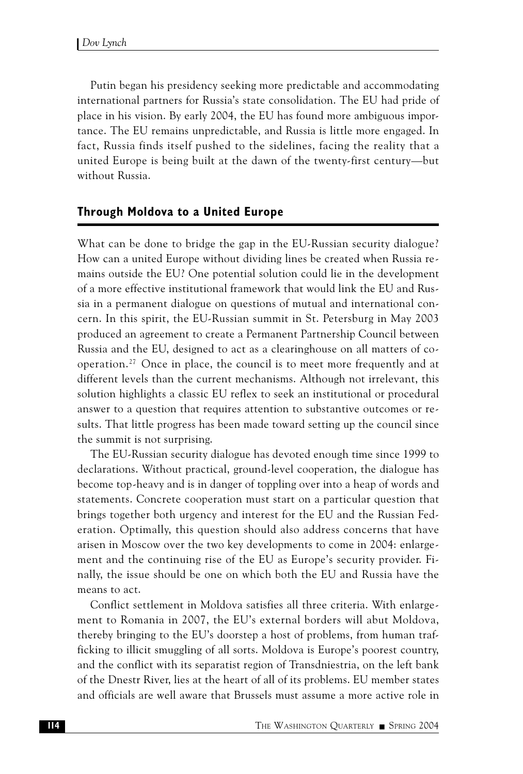Putin began his presidency seeking more predictable and accommodating international partners for Russia's state consolidation. The EU had pride of place in his vision. By early 2004, the EU has found more ambiguous importance. The EU remains unpredictable, and Russia is little more engaged. In fact, Russia finds itself pushed to the sidelines, facing the reality that a united Europe is being built at the dawn of the twenty-first century—but without Russia.

#### **Through Moldova to a United Europe**

What can be done to bridge the gap in the EU-Russian security dialogue? How can a united Europe without dividing lines be created when Russia remains outside the EU? One potential solution could lie in the development of a more effective institutional framework that would link the EU and Russia in a permanent dialogue on questions of mutual and international concern. In this spirit, the EU-Russian summit in St. Petersburg in May 2003 produced an agreement to create a Permanent Partnership Council between Russia and the EU, designed to act as a clearinghouse on all matters of cooperation.27 Once in place, the council is to meet more frequently and at different levels than the current mechanisms. Although not irrelevant, this solution highlights a classic EU reflex to seek an institutional or procedural answer to a question that requires attention to substantive outcomes or results. That little progress has been made toward setting up the council since the summit is not surprising.

The EU-Russian security dialogue has devoted enough time since 1999 to declarations. Without practical, ground-level cooperation, the dialogue has become top-heavy and is in danger of toppling over into a heap of words and statements. Concrete cooperation must start on a particular question that brings together both urgency and interest for the EU and the Russian Federation. Optimally, this question should also address concerns that have arisen in Moscow over the two key developments to come in 2004: enlargement and the continuing rise of the EU as Europe's security provider. Finally, the issue should be one on which both the EU and Russia have the means to act.

Conflict settlement in Moldova satisfies all three criteria. With enlargement to Romania in 2007, the EU's external borders will abut Moldova, thereby bringing to the EU's doorstep a host of problems, from human trafficking to illicit smuggling of all sorts. Moldova is Europe's poorest country, and the conflict with its separatist region of Transdniestria, on the left bank of the Dnestr River, lies at the heart of all of its problems. EU member states and officials are well aware that Brussels must assume a more active role in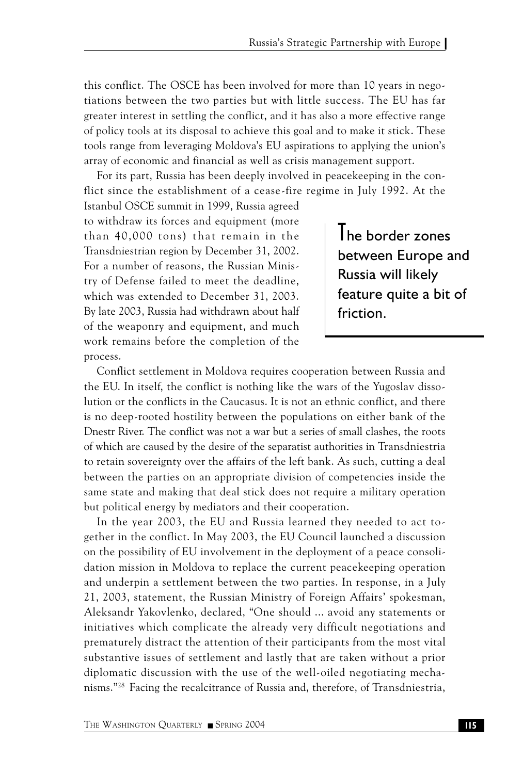this conflict. The OSCE has been involved for more than 10 years in negotiations between the two parties but with little success. The EU has far greater interest in settling the conflict, and it has also a more effective range of policy tools at its disposal to achieve this goal and to make it stick. These tools range from leveraging Moldova's EU aspirations to applying the union's array of economic and financial as well as crisis management support.

For its part, Russia has been deeply involved in peacekeeping in the conflict since the establishment of a cease-fire regime in July 1992. At the

Istanbul OSCE summit in 1999, Russia agreed to withdraw its forces and equipment (more than 40,000 tons) that remain in the Transdniestrian region by December 31, 2002. For a number of reasons, the Russian Ministry of Defense failed to meet the deadline, which was extended to December 31, 2003. By late 2003, Russia had withdrawn about half of the weaponry and equipment, and much work remains before the completion of the process.

I he border zones between Europe and Russia will likely feature quite a bit of friction.

Conflict settlement in Moldova requires cooperation between Russia and the EU. In itself, the conflict is nothing like the wars of the Yugoslav dissolution or the conflicts in the Caucasus. It is not an ethnic conflict, and there is no deep-rooted hostility between the populations on either bank of the Dnestr River. The conflict was not a war but a series of small clashes, the roots of which are caused by the desire of the separatist authorities in Transdniestria to retain sovereignty over the affairs of the left bank. As such, cutting a deal between the parties on an appropriate division of competencies inside the same state and making that deal stick does not require a military operation but political energy by mediators and their cooperation.

In the year 2003, the EU and Russia learned they needed to act together in the conflict. In May 2003, the EU Council launched a discussion on the possibility of EU involvement in the deployment of a peace consolidation mission in Moldova to replace the current peacekeeping operation and underpin a settlement between the two parties. In response, in a July 21, 2003, statement, the Russian Ministry of Foreign Affairs' spokesman, Aleksandr Yakovlenko, declared, "One should ... avoid any statements or initiatives which complicate the already very difficult negotiations and prematurely distract the attention of their participants from the most vital substantive issues of settlement and lastly that are taken without a prior diplomatic discussion with the use of the well-oiled negotiating mechanisms."28 Facing the recalcitrance of Russia and, therefore, of Transdniestria,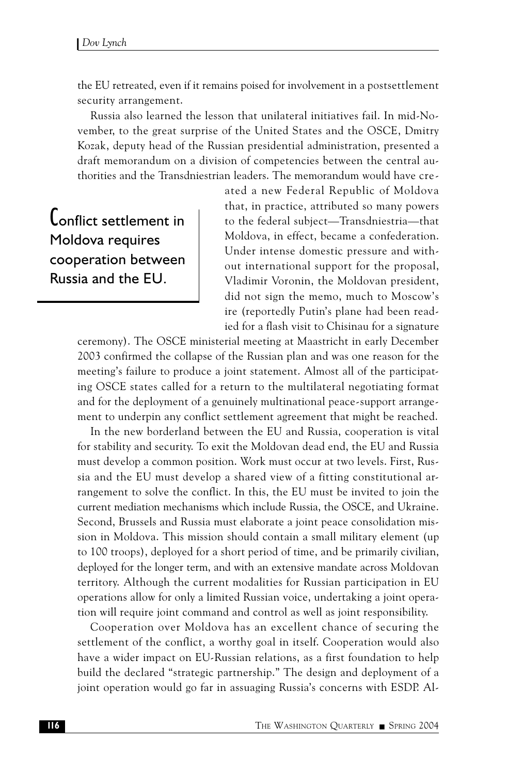the EU retreated, even if it remains poised for involvement in a postsettlement security arrangement.

Russia also learned the lesson that unilateral initiatives fail. In mid-November, to the great surprise of the United States and the OSCE, Dmitry Kozak, deputy head of the Russian presidential administration, presented a draft memorandum on a division of competencies between the central authorities and the Transdniestrian leaders. The memorandum would have cre-

Conflict settlement in Moldova requires cooperation between Russia and the EU.

ated a new Federal Republic of Moldova that, in practice, attributed so many powers to the federal subject—Transdniestria—that Moldova, in effect, became a confederation. Under intense domestic pressure and without international support for the proposal, Vladimir Voronin, the Moldovan president, did not sign the memo, much to Moscow's ire (reportedly Putin's plane had been readied for a flash visit to Chisinau for a signature

ceremony). The OSCE ministerial meeting at Maastricht in early December 2003 confirmed the collapse of the Russian plan and was one reason for the meeting's failure to produce a joint statement. Almost all of the participating OSCE states called for a return to the multilateral negotiating format and for the deployment of a genuinely multinational peace-support arrangement to underpin any conflict settlement agreement that might be reached.

In the new borderland between the EU and Russia, cooperation is vital for stability and security. To exit the Moldovan dead end, the EU and Russia must develop a common position. Work must occur at two levels. First, Russia and the EU must develop a shared view of a fitting constitutional arrangement to solve the conflict. In this, the EU must be invited to join the current mediation mechanisms which include Russia, the OSCE, and Ukraine. Second, Brussels and Russia must elaborate a joint peace consolidation mission in Moldova. This mission should contain a small military element (up to 100 troops), deployed for a short period of time, and be primarily civilian, deployed for the longer term, and with an extensive mandate across Moldovan territory. Although the current modalities for Russian participation in EU operations allow for only a limited Russian voice, undertaking a joint operation will require joint command and control as well as joint responsibility.

Cooperation over Moldova has an excellent chance of securing the settlement of the conflict, a worthy goal in itself. Cooperation would also have a wider impact on EU-Russian relations, as a first foundation to help build the declared "strategic partnership." The design and deployment of a joint operation would go far in assuaging Russia's concerns with ESDP. Al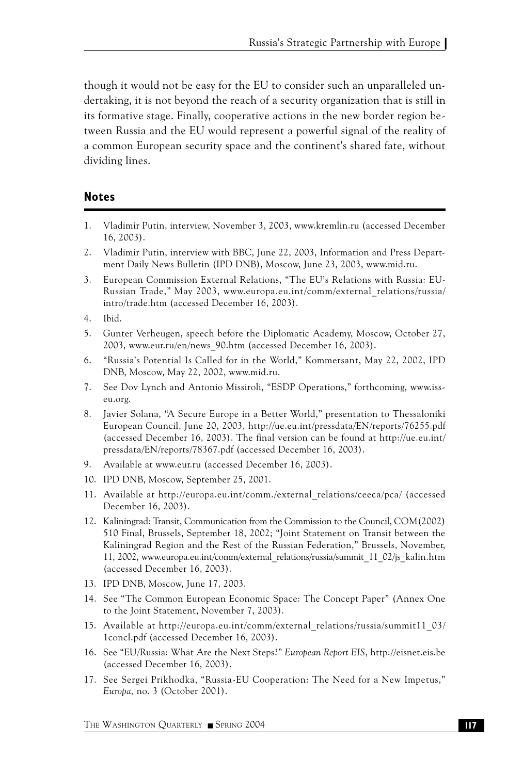though it would not be easy for the EU to consider such an unparalleled undertaking, it is not beyond the reach of a security organization that is still in its formative stage. Finally, cooperative actions in the new border region between Russia and the EU would represent a powerful signal of the reality of a common European security space and the continent's shared fate, without dividing lines.

#### **Notes**

- 1. Vladimir Putin, interview, November 3, 2003, www.kremlin.ru (accessed December 16, 2003).
- 2. Vladimir Putin, interview with BBC, June 22, 2003, Information and Press Department Daily News Bulletin (IPD DNB), Moscow, June 23, 2003, www.mid.ru.
- 3. European Commission External Relations, "The EU's Relations with Russia: EU-Russian Trade," May 2003, www.europa.eu.int/comm/external\_relations/russia/ intro/trade.htm (accessed December 16, 2003).
- 4. Ibid.
- 5. Gunter Verheugen, speech before the Diplomatic Academy, Moscow, October 27, 2003, www.eur.ru/en/news\_90.htm (accessed December 16, 2003).
- 6. "Russia's Potential Is Called for in the World," Kommersant, May 22, 2002, IPD DNB, Moscow, May 22, 2002, www.mid.ru.
- 7. See Dov Lynch and Antonio Missiroli, "ESDP Operations," forthcoming, www.isseu.org.
- 8. Javier Solana, "A Secure Europe in a Better World," presentation to Thessaloniki European Council, June 20, 2003, http://ue.eu.int/pressdata/EN/reports/76255.pdf (accessed December 16, 2003). The final version can be found at http://ue.eu.int/ pressdata/EN/reports/78367.pdf (accessed December 16, 2003).
- 9. Available at www.eur.ru (accessed December 16, 2003).
- 10. IPD DNB, Moscow, September 25, 2001.
- 11. Available at http://europa.eu.int/comm./external\_relations/ceeca/pca/ (accessed December 16, 2003).
- 12. Kaliningrad: Transit, Communication from the Commission to the Council, COM(2002) 510 Final, Brussels, September 18, 2002; "Joint Statement on Transit between the Kaliningrad Region and the Rest of the Russian Federation," Brussels, November, 11, 2002, www.europa.eu.int/comm/external\_relations/russia/summit\_11\_02/js\_kalin.htm (accessed December 16, 2003).
- 13. IPD DNB, Moscow, June 17, 2003.
- 14. See "The Common European Economic Space: The Concept Paper" (Annex One to the Joint Statement, November 7, 2003).
- 15. Available at http://europa.eu.int/comm/external\_relations/russia/summit11\_03/ 1concl.pdf (accessed December 16, 2003).
- 16. See "EU/Russia: What Are the Next Steps?" *European Report EIS*, http://eisnet.eis.be (accessed December 16, 2003).
- 17. See Sergei Prikhodka, "Russia-EU Cooperation: The Need for a New Impetus," *Europa,* no. 3 (October 2001).